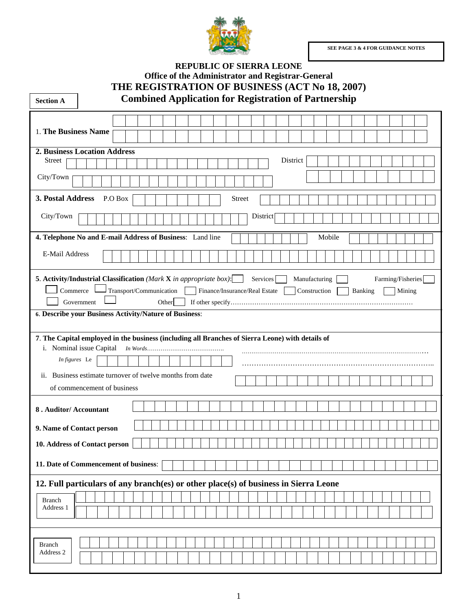**SEE PAGE 3 & 4 FOR GUIDANCE NOTES** 



| <b>Office of the Administrator and Registrar-General</b>                                                                                                                                                                                                                                                           |
|--------------------------------------------------------------------------------------------------------------------------------------------------------------------------------------------------------------------------------------------------------------------------------------------------------------------|
| THE REGISTRATION OF BUSINESS (ACT No 18, 2007)<br><b>Combined Application for Registration of Partnership</b><br><b>Section A</b>                                                                                                                                                                                  |
|                                                                                                                                                                                                                                                                                                                    |
| 1. The Business Name                                                                                                                                                                                                                                                                                               |
| <b>2. Business Location Address</b>                                                                                                                                                                                                                                                                                |
| <b>Street</b><br>District                                                                                                                                                                                                                                                                                          |
| City/Town                                                                                                                                                                                                                                                                                                          |
| 3. Postal Address<br>P.O Box<br><b>Street</b>                                                                                                                                                                                                                                                                      |
| City/Town<br>District                                                                                                                                                                                                                                                                                              |
| 4. Telephone No and E-mail Address of Business: Land line<br>Mobile                                                                                                                                                                                                                                                |
| E-Mail Address                                                                                                                                                                                                                                                                                                     |
| 5. Activity/Industrial Classification (Mark X in appropriate box):<br>Farming/Fisheries<br>Services<br>Manufacturing<br>Commerce<br>Transport/Communication<br>Finance/Insurance/Real Estate<br>Construction<br>Banking<br>Mining<br>Government<br>Other<br>6. Describe your Business Activity/Nature of Business: |
|                                                                                                                                                                                                                                                                                                                    |
| 7. The Capital employed in the business (including all Branches of Sierra Leone) with details of<br>i. Nominal issue Capital                                                                                                                                                                                       |
| In figures Le                                                                                                                                                                                                                                                                                                      |
|                                                                                                                                                                                                                                                                                                                    |
| ii. Business estimate turnover of twelve months from date<br>of commencement of business                                                                                                                                                                                                                           |
|                                                                                                                                                                                                                                                                                                                    |
| 8. Auditor/ Accountant                                                                                                                                                                                                                                                                                             |
| 9. Name of Contact person                                                                                                                                                                                                                                                                                          |
| 10. Address of Contact person                                                                                                                                                                                                                                                                                      |
| 11. Date of Commencement of business:                                                                                                                                                                                                                                                                              |
| 12. Full particulars of any branch(es) or other place(s) of business in Sierra Leone                                                                                                                                                                                                                               |
| <b>Branch</b><br>Address 1                                                                                                                                                                                                                                                                                         |
|                                                                                                                                                                                                                                                                                                                    |
| <b>Branch</b><br>Address 2                                                                                                                                                                                                                                                                                         |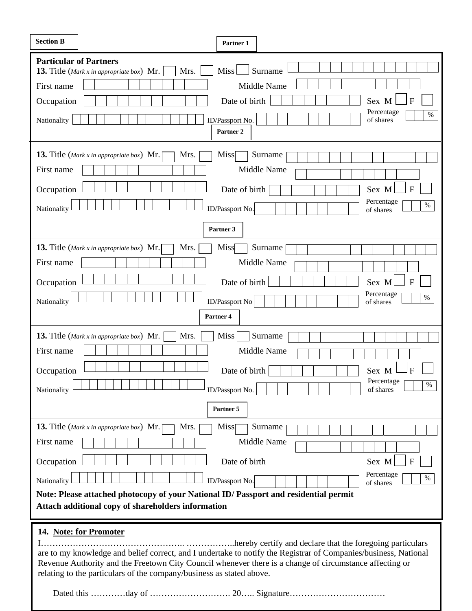| <b>Section B</b>                            | Partner 1                                                                                                                                                                                                                                                                                                                    |
|---------------------------------------------|------------------------------------------------------------------------------------------------------------------------------------------------------------------------------------------------------------------------------------------------------------------------------------------------------------------------------|
| <b>Particular of Partners</b><br>First name | Miss <sup>1</sup><br>Surname<br><b>13.</b> Title (Mark x in appropriate box) Mr.<br>Mrs.<br><b>Middle Name</b>                                                                                                                                                                                                               |
| Occupation<br>Nationality                   | Date of birth<br>Sex M<br>Percentage<br>$\%$<br>ID/Passport No.<br>of shares<br>Partner <sub>2</sub>                                                                                                                                                                                                                         |
| First name                                  | <b>13.</b> Title (Mark x in appropriate box) Mr.<br>Mrs.<br><b>Miss</b><br>Surname<br>Middle Name                                                                                                                                                                                                                            |
| Occupation<br>Nationality                   | $\mathbf{F}$<br>Date of birth<br>Sex M<br>Percentage<br>$\%$<br>ID/Passport No.<br>of shares                                                                                                                                                                                                                                 |
|                                             | Partner 3                                                                                                                                                                                                                                                                                                                    |
| First name<br>Occupation                    | Mrs.<br><b>Miss</b><br><b>13.</b> Title (Mark x in appropriate box) Mr.<br>Surname<br>Middle Name<br>Date of birth<br>$\mathbf{F}$<br>Sex M                                                                                                                                                                                  |
| Nationality                                 | Percentage<br>$\%$<br>ID/Passport No.<br>of shares<br>Partner <sub>4</sub>                                                                                                                                                                                                                                                   |
| First name<br>Occupation<br>Nationality     | Surname<br>Mrs.<br><b>Miss</b><br><b>13.</b> Title (Mark x in appropriate box) Mr.<br>Middle Name<br>Date of birth<br>Sex M<br>F<br>Percentage <b>F</b><br>$\%$<br>ID/Passport No.<br>of shares                                                                                                                              |
|                                             | Partner 5                                                                                                                                                                                                                                                                                                                    |
| First name<br>Occupation                    | <b>13.</b> Title (Mark x in appropriate box) Mr.<br>Mrs.<br>Surname<br><b>Miss</b><br>Middle Name<br>Date of birth<br>Sex M<br>$\mathbf F$                                                                                                                                                                                   |
| Nationality                                 | Percentage<br>$\%$<br>ID/Passport No.<br>of shares<br>Note: Please attached photocopy of your National ID/ Passport and residential permit<br>Attach additional copy of shareholders information                                                                                                                             |
|                                             | 14. Note: for Promoter<br>are to my knowledge and belief correct, and I undertake to notify the Registrar of Companies/business, National<br>Revenue Authority and the Freetown City Council whenever there is a change of circumstance affecting or<br>relating to the particulars of the company/business as stated above. |

 $\overline{\phantom{0}}$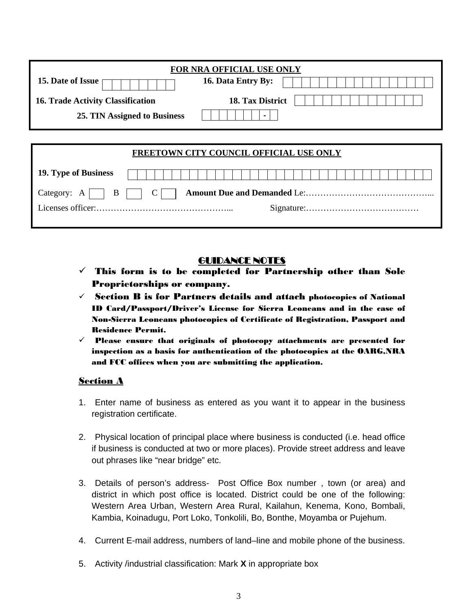|                                          | <b>FOR NRA OFFICIAL USE ONLY</b> |
|------------------------------------------|----------------------------------|
| 15. Date of Issue                        | 16. Data Entry By:               |
| <b>16. Trade Activity Classification</b> | 18. Tax District                 |
| 25. TIN Assigned to Business             |                                  |

|                      |  |  |  |  |  |  |  |  |  |  |  |  |  |  |  |  |  | FREETOWN CITY COUNCIL OFFICIAL USE ONLY |  |  |  |  |  |  |  |  |
|----------------------|--|--|--|--|--|--|--|--|--|--|--|--|--|--|--|--|--|-----------------------------------------|--|--|--|--|--|--|--|--|
| 19. Type of Business |  |  |  |  |  |  |  |  |  |  |  |  |  |  |  |  |  |                                         |  |  |  |  |  |  |  |  |
|                      |  |  |  |  |  |  |  |  |  |  |  |  |  |  |  |  |  |                                         |  |  |  |  |  |  |  |  |
|                      |  |  |  |  |  |  |  |  |  |  |  |  |  |  |  |  |  |                                         |  |  |  |  |  |  |  |  |
|                      |  |  |  |  |  |  |  |  |  |  |  |  |  |  |  |  |  |                                         |  |  |  |  |  |  |  |  |

## GUIDANCE NOTES

- $\checkmark$  This form is to be completed for Partnership other than Sole Proprietorships or company.
- $\checkmark$  Section B is for Partners details and attach photocopies of National ID Card/Passport/Driver's License for Sierra Leoneans and in the case of Non-Sierra Leoneans photocopies of Certificate of Registration, Passport and Residence Permit.
- $\checkmark$  Please ensure that originals of photocopy attachments are presented for inspection as a basis for authentication of the photocopies at the OARG,NRA and FCC offices when you are submitting the application.

## Section A

- 1. Enter name of business as entered as you want it to appear in the business registration certificate.
- 2. Physical location of principal place where business is conducted (i.e. head office if business is conducted at two or more places). Provide street address and leave out phrases like "near bridge" etc.
- 3. Details of person's address- Post Office Box number , town (or area) and district in which post office is located. District could be one of the following: Western Area Urban, Western Area Rural, Kailahun, Kenema, Kono, Bombali, Kambia, Koinadugu, Port Loko, Tonkolili, Bo, Bonthe, Moyamba or Pujehum.
- 4. Current E-mail address, numbers of land–line and mobile phone of the business.
- 5. Activity /industrial classification: Mark **X** in appropriate box